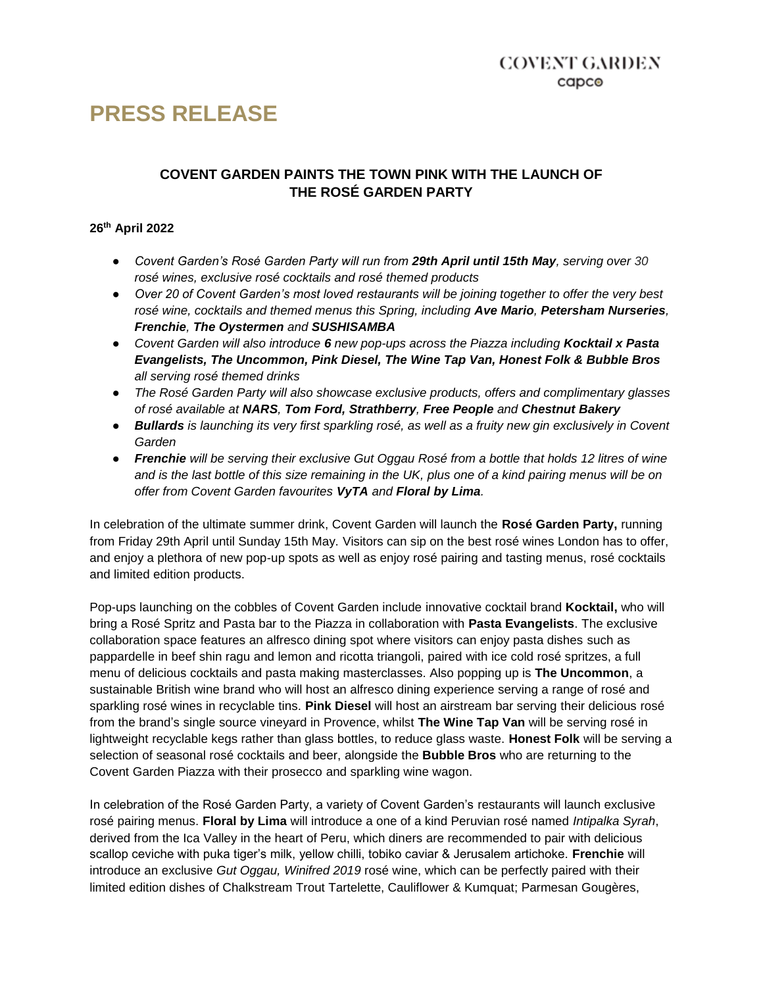# **PRESS RELEASE**

## **COVENT GARDEN PAINTS THE TOWN PINK WITH THE LAUNCH OF THE ROSÉ GARDEN PARTY**

#### **26th April 2022**

- *Covent Garden's Rosé Garden Party will run from 29th April until 15th May, serving over 30 rosé wines, exclusive rosé cocktails and rosé themed products*
- *Over 20 of Covent Garden's most loved restaurants will be joining together to offer the very best rosé wine, cocktails and themed menus this Spring, including Ave Mario, Petersham Nurseries, Frenchie, The Oystermen and SUSHISAMBA*
- *Covent Garden will also introduce 6 new pop-ups across the Piazza including Kocktail x Pasta Evangelists, The Uncommon, Pink Diesel, The Wine Tap Van, Honest Folk & Bubble Bros all serving rosé themed drinks*
- *The Rosé Garden Party will also showcase exclusive products, offers and complimentary glasses of rosé available at NARS, Tom Ford, Strathberry, Free People and Chestnut Bakery*
- *Bullards is launching its very first sparkling rosé, as well as a fruity new gin exclusively in Covent Garden*
- *Frenchie will be serving their exclusive Gut Oggau Rosé from a bottle that holds 12 litres of wine and is the last bottle of this size remaining in the UK, plus one of a kind pairing menus will be on offer from Covent Garden favourites VyTA and Floral by Lima.*

In celebration of the ultimate summer drink, Covent Garden will launch the **Rosé Garden Party,** running from Friday 29th April until Sunday 15th May. Visitors can sip on the best rosé wines London has to offer, and enjoy a plethora of new pop-up spots as well as enjoy rosé pairing and tasting menus, rosé cocktails and limited edition products.

Pop-ups launching on the cobbles of Covent Garden include innovative cocktail brand **Kocktail,** who will bring a Rosé Spritz and Pasta bar to the Piazza in collaboration with **Pasta Evangelists**. The exclusive collaboration space features an alfresco dining spot where visitors can enjoy pasta dishes such as pappardelle in beef shin ragu and lemon and ricotta triangoli, paired with ice cold rosé spritzes, a full menu of delicious cocktails and pasta making masterclasses. Also popping up is **The Uncommon**, a sustainable British wine brand who will host an alfresco dining experience serving a range of rosé and sparkling rosé wines in recyclable tins. **Pink Diesel** will host an airstream bar serving their delicious rosé from the brand's single source vineyard in Provence, whilst **The Wine Tap Van** will be serving rosé in lightweight recyclable kegs rather than glass bottles, to reduce glass waste. **Honest Folk** will be serving a selection of seasonal rosé cocktails and beer, alongside the **Bubble Bros** who are returning to the Covent Garden Piazza with their prosecco and sparkling wine wagon.

In celebration of the Rosé Garden Party, a variety of Covent Garden's restaurants will launch exclusive rosé pairing menus. **Floral by Lima** will introduce a one of a kind Peruvian rosé named *Intipalka Syrah*, derived from the Ica Valley in the heart of Peru, which diners are recommended to pair with delicious scallop ceviche with puka tiger's milk, yellow chilli, tobiko caviar & Jerusalem artichoke. **Frenchie** will introduce an exclusive *Gut Oggau, Winifred 2019* rosé wine, which can be perfectly paired with their limited edition dishes of Chalkstream Trout Tartelette, Cauliflower & Kumquat; Parmesan Gougères,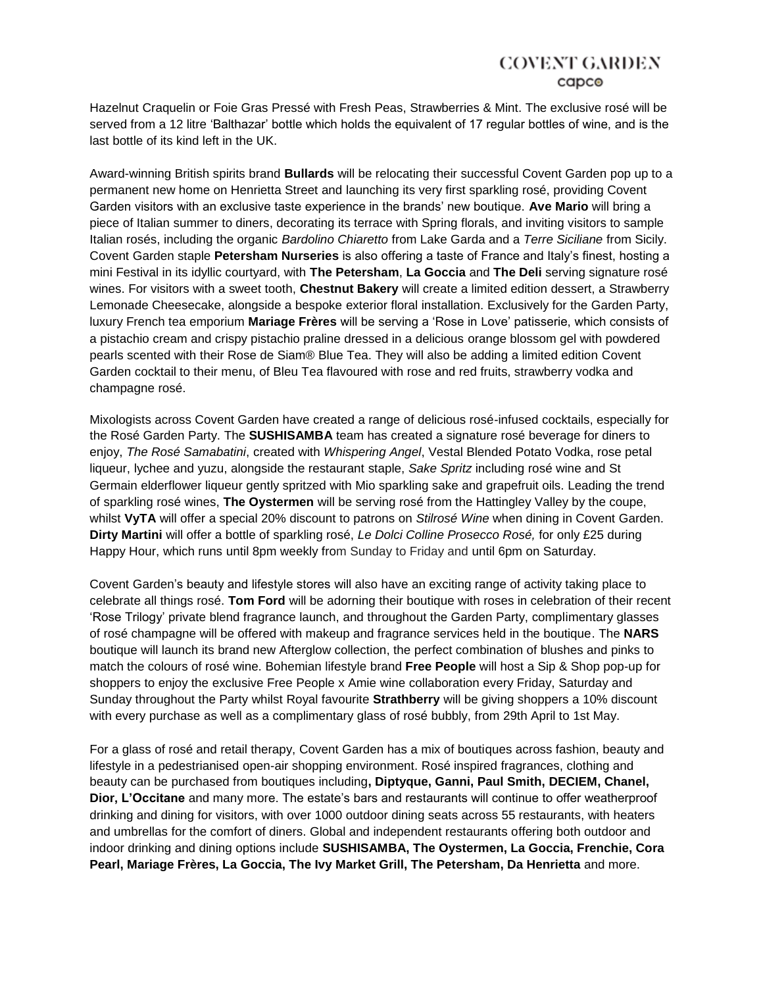# COVENT GARDEN capco

Hazelnut Craquelin or Foie Gras Pressé with Fresh Peas, Strawberries & Mint. The exclusive rosé will be served from a 12 litre 'Balthazar' bottle which holds the equivalent of 17 regular bottles of wine, and is the last bottle of its kind left in the UK.

Award-winning British spirits brand **Bullards** will be relocating their successful Covent Garden pop up to a permanent new home on Henrietta Street and launching its very first sparkling rosé, providing Covent Garden visitors with an exclusive taste experience in the brands' new boutique. **Ave Mario** will bring a piece of Italian summer to diners, decorating its terrace with Spring florals, and inviting visitors to sample Italian rosés, including the organic *Bardolino Chiaretto* from Lake Garda and a *Terre Siciliane* from Sicily. Covent Garden staple **Petersham Nurseries** is also offering a taste of France and Italy's finest, hosting a mini Festival in its idyllic courtyard, with **The Petersham**, **La Goccia** and **The Deli** serving signature rosé wines. For visitors with a sweet tooth, **Chestnut Bakery** will create a limited edition dessert, a Strawberry Lemonade Cheesecake, alongside a bespoke exterior floral installation. Exclusively for the Garden Party, luxury French tea emporium **Mariage Frères** will be serving a 'Rose in Love' patisserie, which consists of a pistachio cream and crispy pistachio praline dressed in a delicious orange blossom gel with powdered pearls scented with their Rose de Siam® Blue Tea. They will also be adding a limited edition Covent Garden cocktail to their menu, of Bleu Tea flavoured with rose and red fruits, strawberry vodka and champagne rosé.

Mixologists across Covent Garden have created a range of delicious rosé-infused cocktails, especially for the Rosé Garden Party. The **SUSHISAMBA** team has created a signature rosé beverage for diners to enjoy, *The Rosé Samabatini*, created with *Whispering Angel*, Vestal Blended Potato Vodka, rose petal liqueur, lychee and yuzu, alongside the restaurant staple, *Sake Spritz* including rosé wine and St Germain elderflower liqueur gently spritzed with Mio sparkling sake and grapefruit oils. Leading the trend of sparkling rosé wines, **The Oystermen** will be serving rosé from the Hattingley Valley by the coupe, whilst **VyTA** will offer a special 20% discount to patrons on *Stilrosé Wine* when dining in Covent Garden. **Dirty Martini** will offer a bottle of sparkling rosé, *Le Dolci Colline Prosecco Rosé,* for only £25 during Happy Hour, which runs until 8pm weekly from Sunday to Friday and until 6pm on Saturday.

Covent Garden's beauty and lifestyle stores will also have an exciting range of activity taking place to celebrate all things rosé. **Tom Ford** will be adorning their boutique with roses in celebration of their recent 'Rose Trilogy' private blend fragrance launch, and throughout the Garden Party, complimentary glasses of rosé champagne will be offered with makeup and fragrance services held in the boutique. The **NARS**  boutique will launch its brand new Afterglow collection, the perfect combination of blushes and pinks to match the colours of rosé wine. Bohemian lifestyle brand **Free People** will host a Sip & Shop pop-up for shoppers to enjoy the exclusive Free People x Amie wine collaboration every Friday, Saturday and Sunday throughout the Party whilst Royal favourite **Strathberry** will be giving shoppers a 10% discount with every purchase as well as a complimentary glass of rosé bubbly, from 29th April to 1st May.

For a glass of rosé and retail therapy, Covent Garden has a mix of boutiques across fashion, beauty and lifestyle in a pedestrianised open-air shopping environment. Rosé inspired fragrances, clothing and beauty can be purchased from boutiques including**, Diptyque, Ganni, Paul Smith, DECIEM, Chanel, Dior, L'Occitane** and many more. The estate's bars and restaurants will continue to offer weatherproof drinking and dining for visitors, with over 1000 outdoor dining seats across 55 restaurants, with heaters and umbrellas for the comfort of diners. Global and independent restaurants offering both outdoor and indoor drinking and dining options include **SUSHISAMBA, The Oystermen, La Goccia, Frenchie, Cora Pearl, Mariage Frères, La Goccia, The Ivy Market Grill, The Petersham, Da Henrietta** and more.